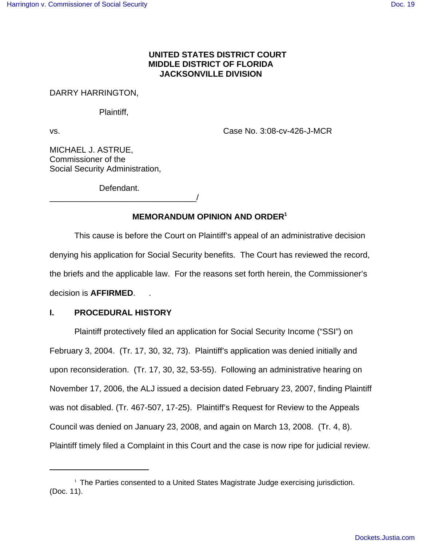# **UNITED STATES DISTRICT COURT MIDDLE DISTRICT OF FLORIDA JACKSONVILLE DIVISION**

DARRY HARRINGTON,

Plaintiff,

vs. Case No. 3:08-cv-426-J-MCR

MICHAEL J. ASTRUE, Commissioner of the Social Security Administration,

Defendant.

\_\_\_\_\_\_\_\_\_\_\_\_\_\_\_\_\_\_\_\_\_\_\_\_\_\_\_\_\_\_\_\_/

# **MEMORANDUM OPINION AND ORDER1**

This cause is before the Court on Plaintiff's appeal of an administrative decision denying his application for Social Security benefits. The Court has reviewed the record, the briefs and the applicable law. For the reasons set forth herein, the Commissioner's decision is **AFFIRMED**. .

# **I. PROCEDURAL HISTORY**

Plaintiff protectively filed an application for Social Security Income ("SSI") on February 3, 2004. (Tr. 17, 30, 32, 73). Plaintiff's application was denied initially and upon reconsideration. (Tr. 17, 30, 32, 53-55). Following an administrative hearing on November 17, 2006, the ALJ issued a decision dated February 23, 2007, finding Plaintiff was not disabled. (Tr. 467-507, 17-25). Plaintiff's Request for Review to the Appeals Council was denied on January 23, 2008, and again on March 13, 2008. (Tr. 4, 8). Plaintiff timely filed a Complaint in this Court and the case is now ripe for judicial review.

<sup>&</sup>lt;sup>1</sup> The Parties consented to a United States Magistrate Judge exercising jurisdiction. (Doc. 11).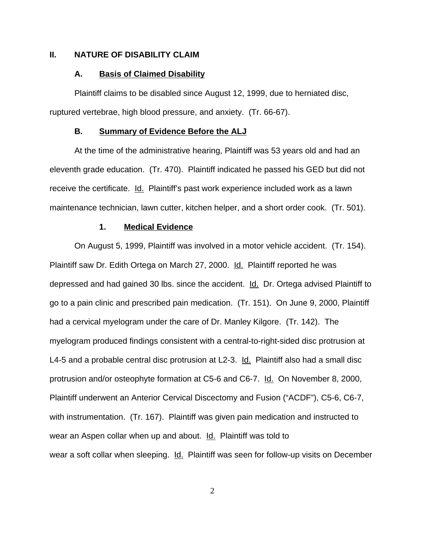### **II. NATURE OF DISABILITY CLAIM**

#### **A. Basis of Claimed Disability**

Plaintiff claims to be disabled since August 12, 1999, due to herniated disc, ruptured vertebrae, high blood pressure, and anxiety. (Tr. 66-67).

#### **B. Summary of Evidence Before the ALJ**

At the time of the administrative hearing, Plaintiff was 53 years old and had an eleventh grade education. (Tr. 470). Plaintiff indicated he passed his GED but did not receive the certificate. Id. Plaintiff's past work experience included work as a lawn maintenance technician, lawn cutter, kitchen helper, and a short order cook. (Tr. 501).

### **1. Medical Evidence**

On August 5, 1999, Plaintiff was involved in a motor vehicle accident. (Tr. 154). Plaintiff saw Dr. Edith Ortega on March 27, 2000. Id. Plaintiff reported he was depressed and had gained 30 lbs. since the accident. Id. Dr. Ortega advised Plaintiff to go to a pain clinic and prescribed pain medication. (Tr. 151). On June 9, 2000, Plaintiff had a cervical myelogram under the care of Dr. Manley Kilgore. (Tr. 142). The myelogram produced findings consistent with a central-to-right-sided disc protrusion at L4-5 and a probable central disc protrusion at L2-3. Id. Plaintiff also had a small disc protrusion and/or osteophyte formation at C5-6 and C6-7. Id. On November 8, 2000, Plaintiff underwent an Anterior Cervical Discectomy and Fusion ("ACDF"), C5-6, C6-7, with instrumentation. (Tr. 167). Plaintiff was given pain medication and instructed to wear an Aspen collar when up and about. Id. Plaintiff was told to wear a soft collar when sleeping. Id. Plaintiff was seen for follow-up visits on December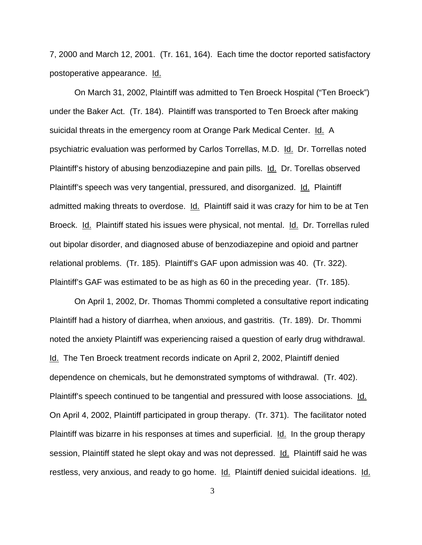7, 2000 and March 12, 2001. (Tr. 161, 164). Each time the doctor reported satisfactory postoperative appearance. Id.

On March 31, 2002, Plaintiff was admitted to Ten Broeck Hospital ("Ten Broeck") under the Baker Act. (Tr. 184). Plaintiff was transported to Ten Broeck after making suicidal threats in the emergency room at Orange Park Medical Center. Id. A psychiatric evaluation was performed by Carlos Torrellas, M.D. Id. Dr. Torrellas noted Plaintiff's history of abusing benzodiazepine and pain pills. Id. Dr. Torellas observed Plaintiff's speech was very tangential, pressured, and disorganized. Id. Plaintiff admitted making threats to overdose. Id. Plaintiff said it was crazy for him to be at Ten Broeck. Id. Plaintiff stated his issues were physical, not mental. Id. Dr. Torrellas ruled out bipolar disorder, and diagnosed abuse of benzodiazepine and opioid and partner relational problems. (Tr. 185). Plaintiff's GAF upon admission was 40. (Tr. 322). Plaintiff's GAF was estimated to be as high as 60 in the preceding year. (Tr. 185).

On April 1, 2002, Dr. Thomas Thommi completed a consultative report indicating Plaintiff had a history of diarrhea, when anxious, and gastritis. (Tr. 189). Dr. Thommi noted the anxiety Plaintiff was experiencing raised a question of early drug withdrawal. Id. The Ten Broeck treatment records indicate on April 2, 2002, Plaintiff denied dependence on chemicals, but he demonstrated symptoms of withdrawal. (Tr. 402). Plaintiff's speech continued to be tangential and pressured with loose associations. Id. On April 4, 2002, Plaintiff participated in group therapy. (Tr. 371). The facilitator noted Plaintiff was bizarre in his responses at times and superficial. Id. In the group therapy session, Plaintiff stated he slept okay and was not depressed. Id. Plaintiff said he was restless, very anxious, and ready to go home. Id. Plaintiff denied suicidal ideations. Id.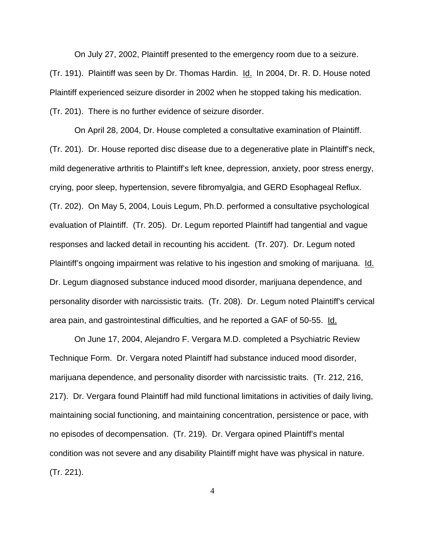On July 27, 2002, Plaintiff presented to the emergency room due to a seizure. (Tr. 191). Plaintiff was seen by Dr. Thomas Hardin. Id. In 2004, Dr. R. D. House noted Plaintiff experienced seizure disorder in 2002 when he stopped taking his medication. (Tr. 201). There is no further evidence of seizure disorder.

On April 28, 2004, Dr. House completed a consultative examination of Plaintiff. (Tr. 201). Dr. House reported disc disease due to a degenerative plate in Plaintiff's neck, mild degenerative arthritis to Plaintiff's left knee, depression, anxiety, poor stress energy, crying, poor sleep, hypertension, severe fibromyalgia, and GERD Esophageal Reflux. (Tr. 202). On May 5, 2004, Louis Legum, Ph.D. performed a consultative psychological evaluation of Plaintiff. (Tr. 205). Dr. Legum reported Plaintiff had tangential and vague responses and lacked detail in recounting his accident. (Tr. 207). Dr. Legum noted Plaintiff's ongoing impairment was relative to his ingestion and smoking of marijuana. Id. Dr. Legum diagnosed substance induced mood disorder, marijuana dependence, and personality disorder with narcissistic traits. (Tr. 208). Dr. Legum noted Plaintiff's cervical area pain, and gastrointestinal difficulties, and he reported a GAF of 50-55. Id.

On June 17, 2004, Alejandro F. Vergara M.D. completed a Psychiatric Review Technique Form. Dr. Vergara noted Plaintiff had substance induced mood disorder, marijuana dependence, and personality disorder with narcissistic traits. (Tr. 212, 216, 217). Dr. Vergara found Plaintiff had mild functional limitations in activities of daily living, maintaining social functioning, and maintaining concentration, persistence or pace, with no episodes of decompensation. (Tr. 219). Dr. Vergara opined Plaintiff's mental condition was not severe and any disability Plaintiff might have was physical in nature. (Tr. 221).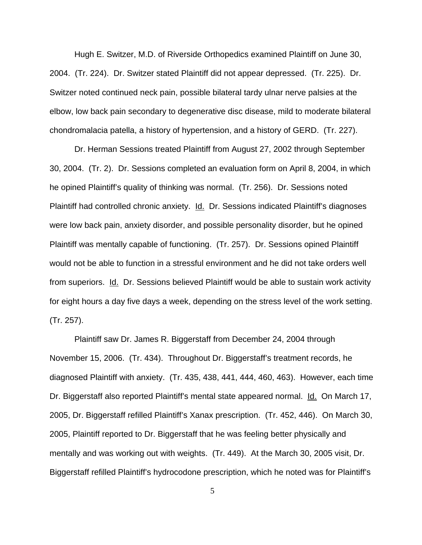Hugh E. Switzer, M.D. of Riverside Orthopedics examined Plaintiff on June 30, 2004. (Tr. 224). Dr. Switzer stated Plaintiff did not appear depressed. (Tr. 225). Dr. Switzer noted continued neck pain, possible bilateral tardy ulnar nerve palsies at the elbow, low back pain secondary to degenerative disc disease, mild to moderate bilateral chondromalacia patella, a history of hypertension, and a history of GERD. (Tr. 227).

Dr. Herman Sessions treated Plaintiff from August 27, 2002 through September 30, 2004. (Tr. 2). Dr. Sessions completed an evaluation form on April 8, 2004, in which he opined Plaintiff's quality of thinking was normal. (Tr. 256). Dr. Sessions noted Plaintiff had controlled chronic anxiety. **Id.** Dr. Sessions indicated Plaintiff's diagnoses were low back pain, anxiety disorder, and possible personality disorder, but he opined Plaintiff was mentally capable of functioning. (Tr. 257). Dr. Sessions opined Plaintiff would not be able to function in a stressful environment and he did not take orders well from superiors. Id. Dr. Sessions believed Plaintiff would be able to sustain work activity for eight hours a day five days a week, depending on the stress level of the work setting. (Tr. 257).

Plaintiff saw Dr. James R. Biggerstaff from December 24, 2004 through November 15, 2006. (Tr. 434). Throughout Dr. Biggerstaff's treatment records, he diagnosed Plaintiff with anxiety. (Tr. 435, 438, 441, 444, 460, 463). However, each time Dr. Biggerstaff also reported Plaintiff's mental state appeared normal. Id. On March 17, 2005, Dr. Biggerstaff refilled Plaintiff's Xanax prescription. (Tr. 452, 446). On March 30, 2005, Plaintiff reported to Dr. Biggerstaff that he was feeling better physically and mentally and was working out with weights. (Tr. 449). At the March 30, 2005 visit, Dr. Biggerstaff refilled Plaintiff's hydrocodone prescription, which he noted was for Plaintiff's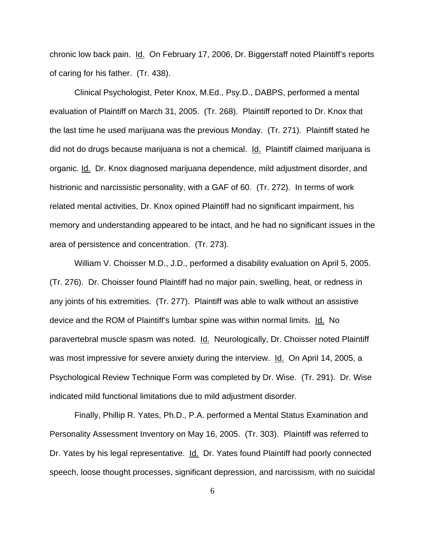chronic low back pain. Id. On February 17, 2006, Dr. Biggerstaff noted Plaintiff's reports of caring for his father. (Tr. 438).

Clinical Psychologist, Peter Knox, M.Ed., Psy.D., DABPS, performed a mental evaluation of Plaintiff on March 31, 2005. (Tr. 268). Plaintiff reported to Dr. Knox that the last time he used marijuana was the previous Monday. (Tr. 271). Plaintiff stated he did not do drugs because marijuana is not a chemical. Id. Plaintiff claimed marijuana is organic. Id. Dr. Knox diagnosed marijuana dependence, mild adjustment disorder, and histrionic and narcissistic personality, with a GAF of 60. (Tr. 272). In terms of work related mental activities, Dr. Knox opined Plaintiff had no significant impairment, his memory and understanding appeared to be intact, and he had no significant issues in the area of persistence and concentration. (Tr. 273).

William V. Choisser M.D., J.D., performed a disability evaluation on April 5, 2005. (Tr. 276). Dr. Choisser found Plaintiff had no major pain, swelling, heat, or redness in any joints of his extremities. (Tr. 277). Plaintiff was able to walk without an assistive device and the ROM of Plaintiff's lumbar spine was within normal limits. Id. No paravertebral muscle spasm was noted. Id. Neurologically, Dr. Choisser noted Plaintiff was most impressive for severe anxiety during the interview. Id. On April 14, 2005, a Psychological Review Technique Form was completed by Dr. Wise. (Tr. 291). Dr. Wise indicated mild functional limitations due to mild adjustment disorder.

Finally, Phillip R. Yates, Ph.D., P.A. performed a Mental Status Examination and Personality Assessment Inventory on May 16, 2005. (Tr. 303). Plaintiff was referred to Dr. Yates by his legal representative. Id. Dr. Yates found Plaintiff had poorly connected speech, loose thought processes, significant depression, and narcissism, with no suicidal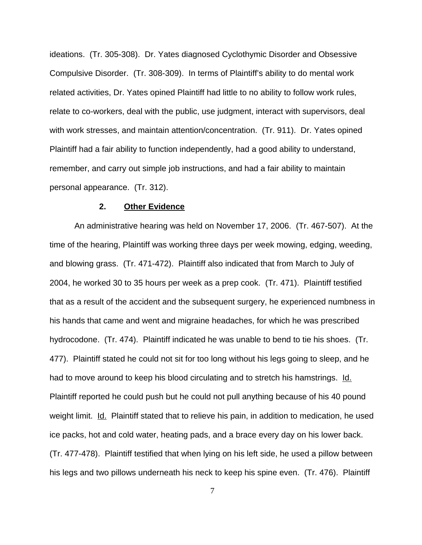ideations. (Tr. 305-308). Dr. Yates diagnosed Cyclothymic Disorder and Obsessive Compulsive Disorder. (Tr. 308-309). In terms of Plaintiff's ability to do mental work related activities, Dr. Yates opined Plaintiff had little to no ability to follow work rules, relate to co-workers, deal with the public, use judgment, interact with supervisors, deal with work stresses, and maintain attention/concentration. (Tr. 911). Dr. Yates opined Plaintiff had a fair ability to function independently, had a good ability to understand, remember, and carry out simple job instructions, and had a fair ability to maintain personal appearance. (Tr. 312).

#### **2. Other Evidence**

An administrative hearing was held on November 17, 2006. (Tr. 467-507). At the time of the hearing, Plaintiff was working three days per week mowing, edging, weeding, and blowing grass. (Tr. 471-472). Plaintiff also indicated that from March to July of 2004, he worked 30 to 35 hours per week as a prep cook. (Tr. 471). Plaintiff testified that as a result of the accident and the subsequent surgery, he experienced numbness in his hands that came and went and migraine headaches, for which he was prescribed hydrocodone. (Tr. 474). Plaintiff indicated he was unable to bend to tie his shoes. (Tr. 477). Plaintiff stated he could not sit for too long without his legs going to sleep, and he had to move around to keep his blood circulating and to stretch his hamstrings. Id. Plaintiff reported he could push but he could not pull anything because of his 40 pound weight limit. Id. Plaintiff stated that to relieve his pain, in addition to medication, he used ice packs, hot and cold water, heating pads, and a brace every day on his lower back. (Tr. 477-478). Plaintiff testified that when lying on his left side, he used a pillow between his legs and two pillows underneath his neck to keep his spine even. (Tr. 476). Plaintiff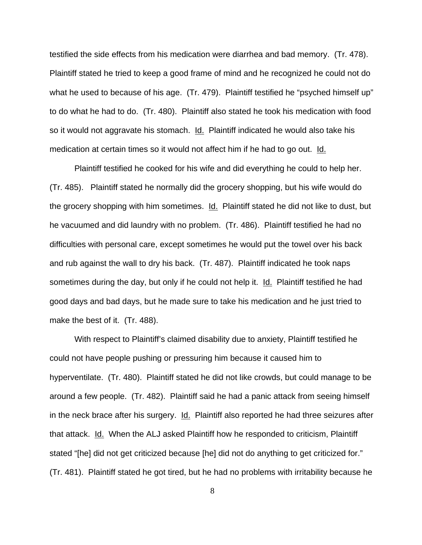testified the side effects from his medication were diarrhea and bad memory. (Tr. 478). Plaintiff stated he tried to keep a good frame of mind and he recognized he could not do what he used to because of his age. (Tr. 479). Plaintiff testified he "psyched himself up" to do what he had to do. (Tr. 480). Plaintiff also stated he took his medication with food so it would not aggravate his stomach. Id. Plaintiff indicated he would also take his medication at certain times so it would not affect him if he had to go out. Id.

Plaintiff testified he cooked for his wife and did everything he could to help her. (Tr. 485). Plaintiff stated he normally did the grocery shopping, but his wife would do the grocery shopping with him sometimes. Id. Plaintiff stated he did not like to dust, but he vacuumed and did laundry with no problem. (Tr. 486). Plaintiff testified he had no difficulties with personal care, except sometimes he would put the towel over his back and rub against the wall to dry his back. (Tr. 487). Plaintiff indicated he took naps sometimes during the day, but only if he could not help it. Id. Plaintiff testified he had good days and bad days, but he made sure to take his medication and he just tried to make the best of it. (Tr. 488).

With respect to Plaintiff's claimed disability due to anxiety, Plaintiff testified he could not have people pushing or pressuring him because it caused him to hyperventilate. (Tr. 480). Plaintiff stated he did not like crowds, but could manage to be around a few people. (Tr. 482). Plaintiff said he had a panic attack from seeing himself in the neck brace after his surgery. Id. Plaintiff also reported he had three seizures after that attack. Id. When the ALJ asked Plaintiff how he responded to criticism, Plaintiff stated "[he] did not get criticized because [he] did not do anything to get criticized for." (Tr. 481). Plaintiff stated he got tired, but he had no problems with irritability because he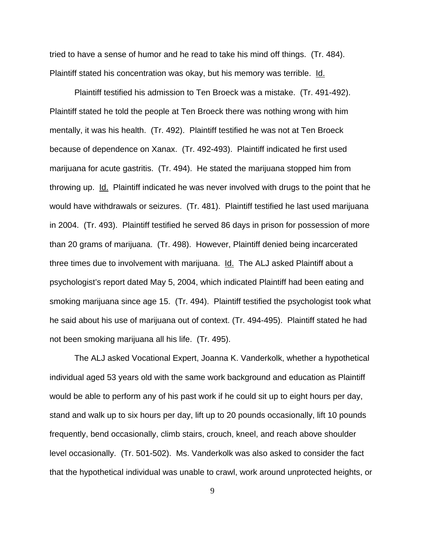tried to have a sense of humor and he read to take his mind off things. (Tr. 484). Plaintiff stated his concentration was okay, but his memory was terrible. Id.

Plaintiff testified his admission to Ten Broeck was a mistake. (Tr. 491-492). Plaintiff stated he told the people at Ten Broeck there was nothing wrong with him mentally, it was his health. (Tr. 492). Plaintiff testified he was not at Ten Broeck because of dependence on Xanax. (Tr. 492-493). Plaintiff indicated he first used marijuana for acute gastritis. (Tr. 494). He stated the marijuana stopped him from throwing up. Id. Plaintiff indicated he was never involved with drugs to the point that he would have withdrawals or seizures. (Tr. 481). Plaintiff testified he last used marijuana in 2004. (Tr. 493). Plaintiff testified he served 86 days in prison for possession of more than 20 grams of marijuana. (Tr. 498). However, Plaintiff denied being incarcerated three times due to involvement with marijuana. Id. The ALJ asked Plaintiff about a psychologist's report dated May 5, 2004, which indicated Plaintiff had been eating and smoking marijuana since age 15. (Tr. 494). Plaintiff testified the psychologist took what he said about his use of marijuana out of context. (Tr. 494-495). Plaintiff stated he had not been smoking marijuana all his life. (Tr. 495).

The ALJ asked Vocational Expert, Joanna K. Vanderkolk, whether a hypothetical individual aged 53 years old with the same work background and education as Plaintiff would be able to perform any of his past work if he could sit up to eight hours per day, stand and walk up to six hours per day, lift up to 20 pounds occasionally, lift 10 pounds frequently, bend occasionally, climb stairs, crouch, kneel, and reach above shoulder level occasionally. (Tr. 501-502). Ms. Vanderkolk was also asked to consider the fact that the hypothetical individual was unable to crawl, work around unprotected heights, or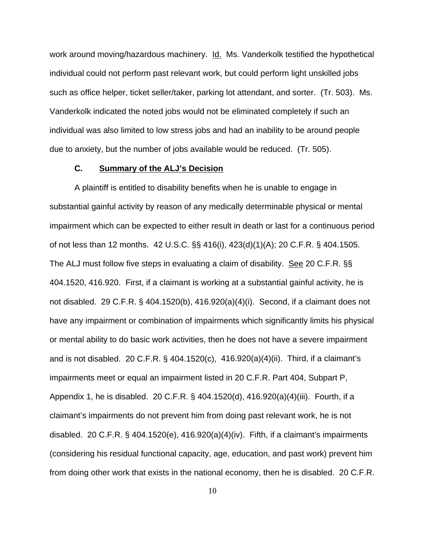work around moving/hazardous machinery. Id. Ms. Vanderkolk testified the hypothetical individual could not perform past relevant work, but could perform light unskilled jobs such as office helper, ticket seller/taker, parking lot attendant, and sorter. (Tr. 503). Ms. Vanderkolk indicated the noted jobs would not be eliminated completely if such an individual was also limited to low stress jobs and had an inability to be around people due to anxiety, but the number of jobs available would be reduced. (Tr. 505).

### **C. Summary of the ALJ's Decision**

A plaintiff is entitled to disability benefits when he is unable to engage in substantial gainful activity by reason of any medically determinable physical or mental impairment which can be expected to either result in death or last for a continuous period of not less than 12 months. 42 U.S.C. §§ 416(i), 423(d)(1)(A); 20 C.F.R. § 404.1505. The ALJ must follow five steps in evaluating a claim of disability. See 20 C.F.R. §§ 404.1520, 416.920. First, if a claimant is working at a substantial gainful activity, he is not disabled. 29 C.F.R. § 404.1520(b), 416.920(a)(4)(i). Second, if a claimant does not have any impairment or combination of impairments which significantly limits his physical or mental ability to do basic work activities, then he does not have a severe impairment and is not disabled. 20 C.F.R. § 404.1520(c), 416.920(a)(4)(ii). Third, if a claimant's impairments meet or equal an impairment listed in 20 C.F.R. Part 404, Subpart P, Appendix 1, he is disabled. 20 C.F.R. § 404.1520(d), 416.920(a)(4)(iii). Fourth, if a claimant's impairments do not prevent him from doing past relevant work, he is not disabled. 20 C.F.R.  $\S$  404.1520(e), 416.920(a)(4)(iv). Fifth, if a claimant's impairments (considering his residual functional capacity, age, education, and past work) prevent him from doing other work that exists in the national economy, then he is disabled. 20 C.F.R.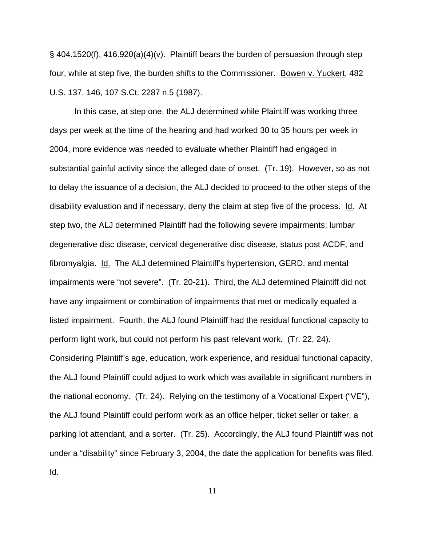§ 404.1520(f), 416.920(a)(4)(v). Plaintiff bears the burden of persuasion through step four, while at step five, the burden shifts to the Commissioner. Bowen v. Yuckert, 482 U.S. 137, 146, 107 S.Ct. 2287 n.5 (1987).

In this case, at step one, the ALJ determined while Plaintiff was working three days per week at the time of the hearing and had worked 30 to 35 hours per week in 2004, more evidence was needed to evaluate whether Plaintiff had engaged in substantial gainful activity since the alleged date of onset. (Tr. 19). However, so as not to delay the issuance of a decision, the ALJ decided to proceed to the other steps of the disability evaluation and if necessary, deny the claim at step five of the process. Id. At step two, the ALJ determined Plaintiff had the following severe impairments: lumbar degenerative disc disease, cervical degenerative disc disease, status post ACDF, and fibromyalgia. Id. The ALJ determined Plaintiff's hypertension, GERD, and mental impairments were "not severe". (Tr. 20-21). Third, the ALJ determined Plaintiff did not have any impairment or combination of impairments that met or medically equaled a listed impairment. Fourth, the ALJ found Plaintiff had the residual functional capacity to perform light work, but could not perform his past relevant work. (Tr. 22, 24). Considering Plaintiff's age, education, work experience, and residual functional capacity, the ALJ found Plaintiff could adjust to work which was available in significant numbers in the national economy. (Tr. 24). Relying on the testimony of a Vocational Expert ("VE"), the ALJ found Plaintiff could perform work as an office helper, ticket seller or taker, a parking lot attendant, and a sorter. (Tr. 25). Accordingly, the ALJ found Plaintiff was not under a "disability" since February 3, 2004, the date the application for benefits was filed. Id.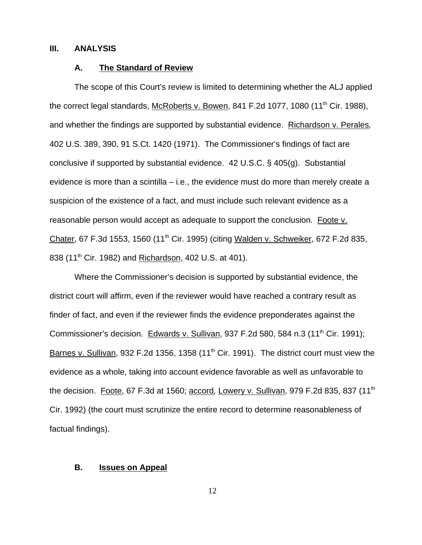#### **III. ANALYSIS**

### **A. The Standard of Review**

The scope of this Court's review is limited to determining whether the ALJ applied the correct legal standards, McRoberts v. Bowen, 841 F.2d 1077, 1080 (11<sup>th</sup> Cir. 1988), and whether the findings are supported by substantial evidence. Richardson v. Perales*,* 402 U.S. 389, 390, 91 S.Ct. 1420 (1971). The Commissioner's findings of fact are conclusive if supported by substantial evidence. 42 U.S.C. § 405(g). Substantial evidence is more than a scintilla – i.e., the evidence must do more than merely create a suspicion of the existence of a fact, and must include such relevant evidence as a reasonable person would accept as adequate to support the conclusion*.* Foote v. Chater, 67 F.3d 1553, 1560 (11<sup>th</sup> Cir. 1995) (citing Walden v. Schweiker, 672 F.2d 835, 838 (11<sup>th</sup> Cir. 1982) and Richardson, 402 U.S. at 401).

Where the Commissioner's decision is supported by substantial evidence, the district court will affirm, even if the reviewer would have reached a contrary result as finder of fact, and even if the reviewer finds the evidence preponderates against the Commissioner's decision. Edwards v. Sullivan, 937 F.2d 580, 584 n.3 (11<sup>th</sup> Cir. 1991); Barnes v. Sullivan, 932 F.2d 1356, 1358 (11<sup>th</sup> Cir. 1991). The district court must view the evidence as a whole, taking into account evidence favorable as well as unfavorable to the decision. Foote, 67 F.3d at 1560; accord*,* Lowery v. Sullivan, 979 F.2d 835, 837 (11th Cir. 1992) (the court must scrutinize the entire record to determine reasonableness of factual findings).

#### **B. Issues on Appeal**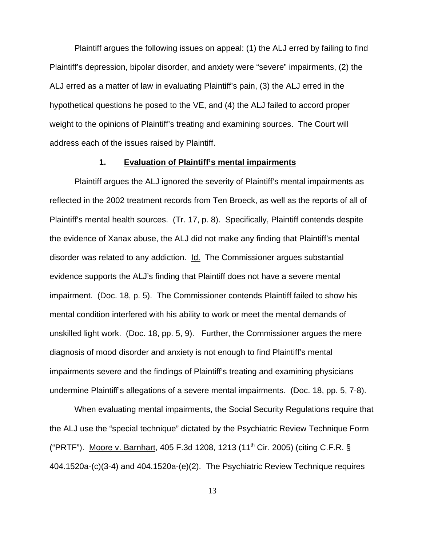Plaintiff argues the following issues on appeal: (1) the ALJ erred by failing to find Plaintiff's depression, bipolar disorder, and anxiety were "severe" impairments, (2) the ALJ erred as a matter of law in evaluating Plaintiff's pain, (3) the ALJ erred in the hypothetical questions he posed to the VE, and (4) the ALJ failed to accord proper weight to the opinions of Plaintiff's treating and examining sources. The Court will address each of the issues raised by Plaintiff.

### **1. Evaluation of Plaintiff's mental impairments**

Plaintiff argues the ALJ ignored the severity of Plaintiff's mental impairments as reflected in the 2002 treatment records from Ten Broeck, as well as the reports of all of Plaintiff's mental health sources. (Tr. 17, p. 8). Specifically, Plaintiff contends despite the evidence of Xanax abuse, the ALJ did not make any finding that Plaintiff's mental disorder was related to any addiction. Id. The Commissioner argues substantial evidence supports the ALJ's finding that Plaintiff does not have a severe mental impairment. (Doc. 18, p. 5). The Commissioner contends Plaintiff failed to show his mental condition interfered with his ability to work or meet the mental demands of unskilled light work. (Doc. 18, pp. 5, 9). Further, the Commissioner argues the mere diagnosis of mood disorder and anxiety is not enough to find Plaintiff's mental impairments severe and the findings of Plaintiff's treating and examining physicians undermine Plaintiff's allegations of a severe mental impairments. (Doc. 18, pp. 5, 7-8).

When evaluating mental impairments, the Social Security Regulations require that the ALJ use the "special technique" dictated by the Psychiatric Review Technique Form ("PRTF"). Moore v. Barnhart, 405 F.3d 1208, 1213 (11<sup>th</sup> Cir. 2005) (citing C.F.R. § 404.1520a-(c)(3-4) and 404.1520a-(e)(2). The Psychiatric Review Technique requires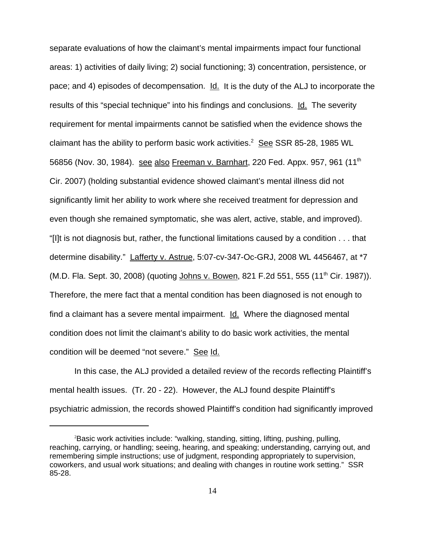separate evaluations of how the claimant's mental impairments impact four functional areas: 1) activities of daily living; 2) social functioning; 3) concentration, persistence, or pace; and 4) episodes of decompensation. Id. It is the duty of the ALJ to incorporate the results of this "special technique" into his findings and conclusions. Id. The severity requirement for mental impairments cannot be satisfied when the evidence shows the claimant has the ability to perform basic work activities.<sup>2</sup> See SSR 85-28, 1985 WL 56856 (Nov. 30, 1984). see also Freeman v. Barnhart, 220 Fed. Appx. 957, 961 (11<sup>th</sup>) Cir. 2007) (holding substantial evidence showed claimant's mental illness did not significantly limit her ability to work where she received treatment for depression and even though she remained symptomatic, she was alert, active, stable, and improved). "[I]t is not diagnosis but, rather, the functional limitations caused by a condition . . . that determine disability." Lafferty v. Astrue, 5:07-cv-347-Oc-GRJ, 2008 WL 4456467, at \*7 (M.D. Fla. Sept. 30, 2008) (quoting Johns v. Bowen, 821 F.2d 551, 555 (11<sup>th</sup> Cir. 1987)). Therefore, the mere fact that a mental condition has been diagnosed is not enough to find a claimant has a severe mental impairment. Id. Where the diagnosed mental condition does not limit the claimant's ability to do basic work activities, the mental condition will be deemed "not severe." See Id.

In this case, the ALJ provided a detailed review of the records reflecting Plaintiff's mental health issues. (Tr. 20 - 22). However, the ALJ found despite Plaintiff's psychiatric admission, the records showed Plaintiff's condition had significantly improved

<sup>2</sup> Basic work activities include: "walking, standing, sitting, lifting, pushing, pulling, reaching, carrying, or handling; seeing, hearing, and speaking; understanding, carrying out, and remembering simple instructions; use of judgment, responding appropriately to supervision, coworkers, and usual work situations; and dealing with changes in routine work setting." SSR 85-28.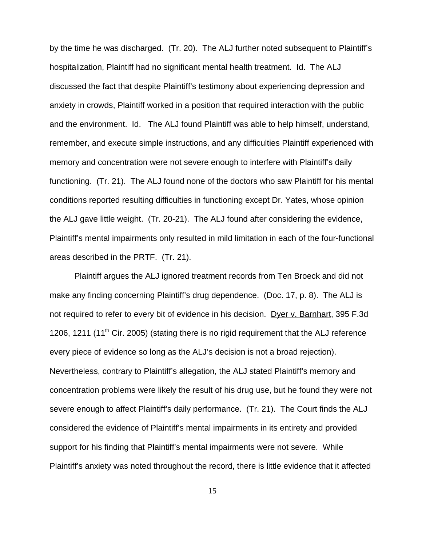by the time he was discharged. (Tr. 20). The ALJ further noted subsequent to Plaintiff's hospitalization, Plaintiff had no significant mental health treatment. Id. The ALJ discussed the fact that despite Plaintiff's testimony about experiencing depression and anxiety in crowds, Plaintiff worked in a position that required interaction with the public and the environment. Id. The ALJ found Plaintiff was able to help himself, understand, remember, and execute simple instructions, and any difficulties Plaintiff experienced with memory and concentration were not severe enough to interfere with Plaintiff's daily functioning. (Tr. 21). The ALJ found none of the doctors who saw Plaintiff for his mental conditions reported resulting difficulties in functioning except Dr. Yates, whose opinion the ALJ gave little weight. (Tr. 20-21). The ALJ found after considering the evidence, Plaintiff's mental impairments only resulted in mild limitation in each of the four-functional areas described in the PRTF. (Tr. 21).

Plaintiff argues the ALJ ignored treatment records from Ten Broeck and did not make any finding concerning Plaintiff's drug dependence. (Doc. 17, p. 8). The ALJ is not required to refer to every bit of evidence in his decision. Dyer v. Barnhart, 395 F.3d 1206, 1211 (11<sup>th</sup> Cir. 2005) (stating there is no rigid requirement that the ALJ reference every piece of evidence so long as the ALJ's decision is not a broad rejection). Nevertheless, contrary to Plaintiff's allegation, the ALJ stated Plaintiff's memory and concentration problems were likely the result of his drug use, but he found they were not severe enough to affect Plaintiff's daily performance. (Tr. 21). The Court finds the ALJ considered the evidence of Plaintiff's mental impairments in its entirety and provided support for his finding that Plaintiff's mental impairments were not severe. While Plaintiff's anxiety was noted throughout the record, there is little evidence that it affected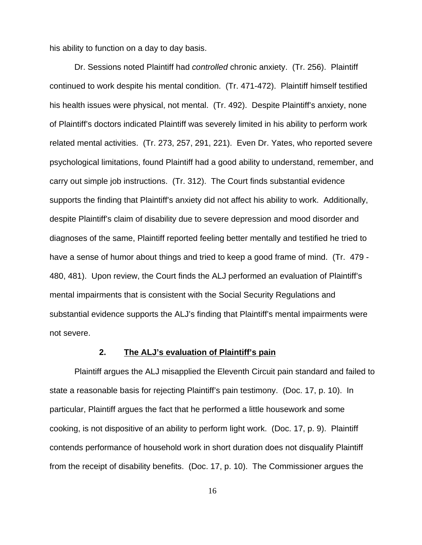his ability to function on a day to day basis.

Dr. Sessions noted Plaintiff had *controlled* chronic anxiety. (Tr. 256). Plaintiff continued to work despite his mental condition. (Tr. 471-472). Plaintiff himself testified his health issues were physical, not mental. (Tr. 492). Despite Plaintiff's anxiety, none of Plaintiff's doctors indicated Plaintiff was severely limited in his ability to perform work related mental activities. (Tr. 273, 257, 291, 221). Even Dr. Yates, who reported severe psychological limitations, found Plaintiff had a good ability to understand, remember, and carry out simple job instructions. (Tr. 312). The Court finds substantial evidence supports the finding that Plaintiff's anxiety did not affect his ability to work. Additionally, despite Plaintiff's claim of disability due to severe depression and mood disorder and diagnoses of the same, Plaintiff reported feeling better mentally and testified he tried to have a sense of humor about things and tried to keep a good frame of mind. (Tr. 479 - 480, 481). Upon review, the Court finds the ALJ performed an evaluation of Plaintiff's mental impairments that is consistent with the Social Security Regulations and substantial evidence supports the ALJ's finding that Plaintiff's mental impairments were not severe.

## **2. The ALJ's evaluation of Plaintiff's pain**

Plaintiff argues the ALJ misapplied the Eleventh Circuit pain standard and failed to state a reasonable basis for rejecting Plaintiff's pain testimony. (Doc. 17, p. 10). In particular, Plaintiff argues the fact that he performed a little housework and some cooking, is not dispositive of an ability to perform light work. (Doc. 17, p. 9). Plaintiff contends performance of household work in short duration does not disqualify Plaintiff from the receipt of disability benefits. (Doc. 17, p. 10). The Commissioner argues the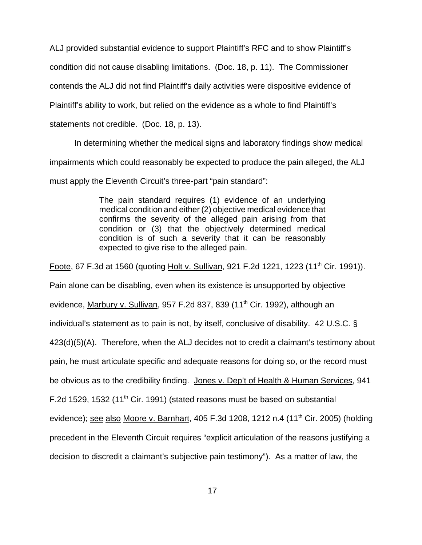ALJ provided substantial evidence to support Plaintiff's RFC and to show Plaintiff's condition did not cause disabling limitations. (Doc. 18, p. 11). The Commissioner contends the ALJ did not find Plaintiff's daily activities were dispositive evidence of Plaintiff's ability to work, but relied on the evidence as a whole to find Plaintiff's

statements not credible. (Doc. 18, p. 13).

In determining whether the medical signs and laboratory findings show medical impairments which could reasonably be expected to produce the pain alleged, the ALJ must apply the Eleventh Circuit's three-part "pain standard":

> The pain standard requires (1) evidence of an underlying medical condition and either (2) objective medical evidence that confirms the severity of the alleged pain arising from that condition or (3) that the objectively determined medical condition is of such a severity that it can be reasonably expected to give rise to the alleged pain.

Foote, 67 F.3d at 1560 (quoting Holt v. Sullivan, 921 F.2d 1221, 1223 (11<sup>th</sup> Cir. 1991)). Pain alone can be disabling, even when its existence is unsupported by objective evidence, Marbury v. Sullivan, 957 F.2d 837, 839 (11<sup>th</sup> Cir. 1992), although an individual's statement as to pain is not, by itself, conclusive of disability. 42 U.S.C. § 423(d)(5)(A). Therefore, when the ALJ decides not to credit a claimant's testimony about pain, he must articulate specific and adequate reasons for doing so, or the record must be obvious as to the credibility finding. Jones v. Dep't of Health & Human Services, 941 F.2d 1529, 1532 (11<sup>th</sup> Cir. 1991) (stated reasons must be based on substantial evidence); see also Moore v. Barnhart, 405 F.3d 1208, 1212 n.4 (11<sup>th</sup> Cir. 2005) (holding precedent in the Eleventh Circuit requires "explicit articulation of the reasons justifying a decision to discredit a claimant's subjective pain testimony"). As a matter of law, the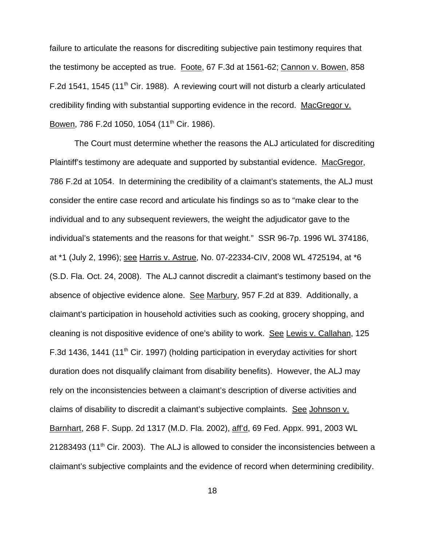failure to articulate the reasons for discrediting subjective pain testimony requires that the testimony be accepted as true. Foote, 67 F.3d at 1561-62; Cannon v. Bowen, 858 F.2d 1541, 1545 (11<sup>th</sup> Cir. 1988). A reviewing court will not disturb a clearly articulated credibility finding with substantial supporting evidence in the record. MacGregor v. Bowen, 786 F.2d 1050, 1054 (11<sup>th</sup> Cir. 1986).

The Court must determine whether the reasons the ALJ articulated for discrediting Plaintiff's testimony are adequate and supported by substantial evidence. MacGregor, 786 F.2d at 1054. In determining the credibility of a claimant's statements, the ALJ must consider the entire case record and articulate his findings so as to "make clear to the individual and to any subsequent reviewers, the weight the adjudicator gave to the individual's statements and the reasons for that weight." SSR 96-7p. 1996 WL 374186, at \*1 (July 2, 1996); see Harris v. Astrue, No. 07-22334-CIV, 2008 WL 4725194, at \*6 (S.D. Fla. Oct. 24, 2008). The ALJ cannot discredit a claimant's testimony based on the absence of objective evidence alone. See Marbury, 957 F.2d at 839. Additionally, a claimant's participation in household activities such as cooking, grocery shopping, and cleaning is not dispositive evidence of one's ability to work. See Lewis v. Callahan, 125 F.3d 1436, 1441 (11th Cir. 1997) (holding participation in everyday activities for short duration does not disqualify claimant from disability benefits). However, the ALJ may rely on the inconsistencies between a claimant's description of diverse activities and claims of disability to discredit a claimant's subjective complaints. See Johnson v. Barnhart, 268 F. Supp. 2d 1317 (M.D. Fla. 2002), aff'd, 69 Fed. Appx. 991, 2003 WL  $21283493$  (11<sup>th</sup> Cir. 2003). The ALJ is allowed to consider the inconsistencies between a claimant's subjective complaints and the evidence of record when determining credibility.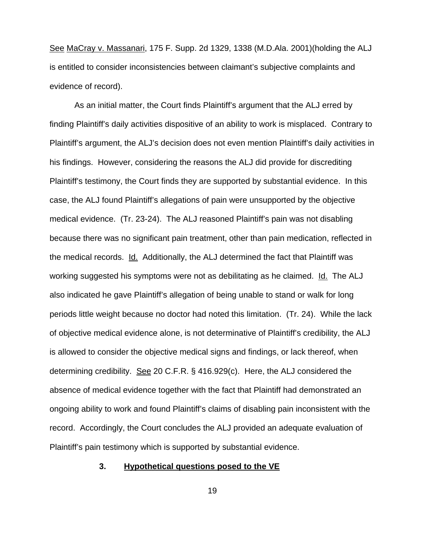See MaCray v. Massanari, 175 F. Supp. 2d 1329, 1338 (M.D.Ala. 2001)(holding the ALJ is entitled to consider inconsistencies between claimant's subjective complaints and evidence of record).

As an initial matter, the Court finds Plaintiff's argument that the ALJ erred by finding Plaintiff's daily activities dispositive of an ability to work is misplaced. Contrary to Plaintiff's argument, the ALJ's decision does not even mention Plaintiff's daily activities in his findings. However, considering the reasons the ALJ did provide for discrediting Plaintiff's testimony, the Court finds they are supported by substantial evidence. In this case, the ALJ found Plaintiff's allegations of pain were unsupported by the objective medical evidence. (Tr. 23-24). The ALJ reasoned Plaintiff's pain was not disabling because there was no significant pain treatment, other than pain medication, reflected in the medical records. Id. Additionally, the ALJ determined the fact that Plaintiff was working suggested his symptoms were not as debilitating as he claimed. Id. The ALJ also indicated he gave Plaintiff's allegation of being unable to stand or walk for long periods little weight because no doctor had noted this limitation. (Tr. 24). While the lack of objective medical evidence alone, is not determinative of Plaintiff's credibility, the ALJ is allowed to consider the objective medical signs and findings, or lack thereof, when determining credibility. See 20 C.F.R. § 416.929(c). Here, the ALJ considered the absence of medical evidence together with the fact that Plaintiff had demonstrated an ongoing ability to work and found Plaintiff's claims of disabling pain inconsistent with the record. Accordingly, the Court concludes the ALJ provided an adequate evaluation of Plaintiff's pain testimony which is supported by substantial evidence.

## **3. Hypothetical questions posed to the VE**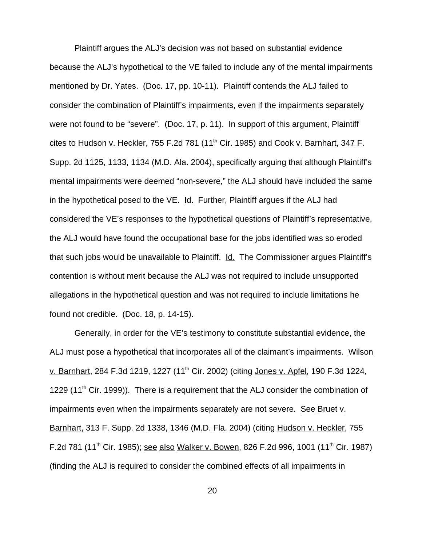Plaintiff argues the ALJ's decision was not based on substantial evidence because the ALJ's hypothetical to the VE failed to include any of the mental impairments mentioned by Dr. Yates. (Doc. 17, pp. 10-11). Plaintiff contends the ALJ failed to consider the combination of Plaintiff's impairments, even if the impairments separately were not found to be "severe". (Doc. 17, p. 11). In support of this argument, Plaintiff cites to Hudson v. Heckler, 755 F.2d 781 (11<sup>th</sup> Cir. 1985) and Cook v. Barnhart, 347 F. Supp. 2d 1125, 1133, 1134 (M.D. Ala. 2004), specifically arguing that although Plaintiff's mental impairments were deemed "non-severe," the ALJ should have included the same in the hypothetical posed to the VE. Id. Further, Plaintiff argues if the ALJ had considered the VE's responses to the hypothetical questions of Plaintiff's representative, the ALJ would have found the occupational base for the jobs identified was so eroded that such jobs would be unavailable to Plaintiff. Id. The Commissioner argues Plaintiff's contention is without merit because the ALJ was not required to include unsupported allegations in the hypothetical question and was not required to include limitations he found not credible. (Doc. 18, p. 14-15).

Generally, in order for the VE's testimony to constitute substantial evidence, the ALJ must pose a hypothetical that incorporates all of the claimant's impairments. Wilson v. Barnhart, 284 F.3d 1219, 1227 (11<sup>th</sup> Cir. 2002) (citing Jones v. Apfel, 190 F.3d 1224, 1229 (11<sup>th</sup> Cir. 1999)). There is a requirement that the ALJ consider the combination of impairments even when the impairments separately are not severe. See Bruet v. Barnhart, 313 F. Supp. 2d 1338, 1346 (M.D. Fla. 2004) (citing Hudson v. Heckler, 755 F.2d 781 (11<sup>th</sup> Cir. 1985); see also Walker v. Bowen, 826 F.2d 996, 1001 (11<sup>th</sup> Cir. 1987) (finding the ALJ is required to consider the combined effects of all impairments in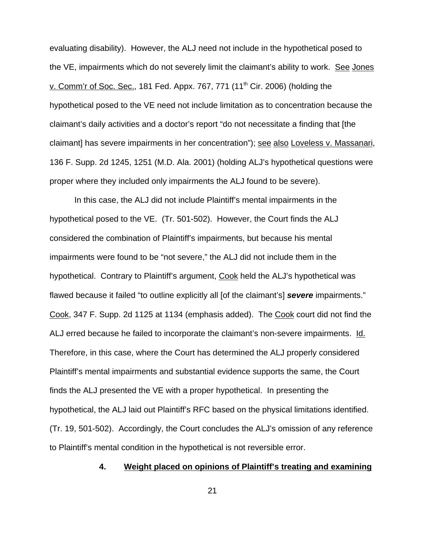evaluating disability). However, the ALJ need not include in the hypothetical posed to the VE, impairments which do not severely limit the claimant's ability to work. See Jones v. Comm'r of Soc. Sec., 181 Fed. Appx. 767, 771  $(11<sup>th</sup> Cir. 2006)$  (holding the hypothetical posed to the VE need not include limitation as to concentration because the claimant's daily activities and a doctor's report "do not necessitate a finding that [the claimant] has severe impairments in her concentration"); see also Loveless v. Massanari, 136 F. Supp. 2d 1245, 1251 (M.D. Ala. 2001) (holding ALJ's hypothetical questions were proper where they included only impairments the ALJ found to be severe).

In this case, the ALJ did not include Plaintiff's mental impairments in the hypothetical posed to the VE. (Tr. 501-502). However, the Court finds the ALJ considered the combination of Plaintiff's impairments, but because his mental impairments were found to be "not severe," the ALJ did not include them in the hypothetical. Contrary to Plaintiff's argument, Cook held the ALJ's hypothetical was flawed because it failed "to outline explicitly all [of the claimant's] *severe* impairments." Cook, 347 F. Supp. 2d 1125 at 1134 (emphasis added). The Cook court did not find the ALJ erred because he failed to incorporate the claimant's non-severe impairments. Id. Therefore, in this case, where the Court has determined the ALJ properly considered Plaintiff's mental impairments and substantial evidence supports the same, the Court finds the ALJ presented the VE with a proper hypothetical. In presenting the hypothetical, the ALJ laid out Plaintiff's RFC based on the physical limitations identified. (Tr. 19, 501-502). Accordingly, the Court concludes the ALJ's omission of any reference to Plaintiff's mental condition in the hypothetical is not reversible error.

## **4. Weight placed on opinions of Plaintiff's treating and examining**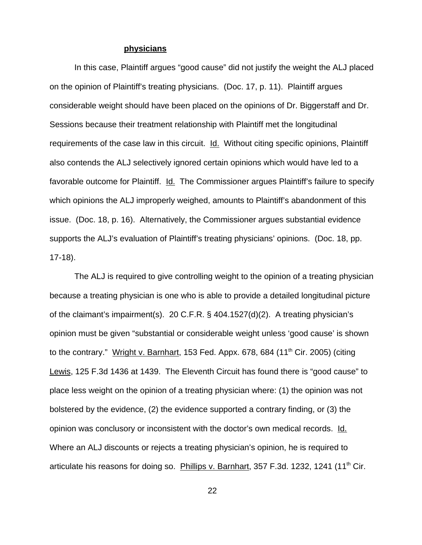#### **physicians**

In this case, Plaintiff argues "good cause" did not justify the weight the ALJ placed on the opinion of Plaintiff's treating physicians. (Doc. 17, p. 11). Plaintiff argues considerable weight should have been placed on the opinions of Dr. Biggerstaff and Dr. Sessions because their treatment relationship with Plaintiff met the longitudinal requirements of the case law in this circuit. Id. Without citing specific opinions, Plaintiff also contends the ALJ selectively ignored certain opinions which would have led to a favorable outcome for Plaintiff. Id. The Commissioner argues Plaintiff's failure to specify which opinions the ALJ improperly weighed, amounts to Plaintiff's abandonment of this issue. (Doc. 18, p. 16). Alternatively, the Commissioner argues substantial evidence supports the ALJ's evaluation of Plaintiff's treating physicians' opinions. (Doc. 18, pp. 17-18).

The ALJ is required to give controlling weight to the opinion of a treating physician because a treating physician is one who is able to provide a detailed longitudinal picture of the claimant's impairment(s). 20 C.F.R. § 404.1527(d)(2). A treating physician's opinion must be given "substantial or considerable weight unless 'good cause' is shown to the contrary." Wright v. Barnhart, 153 Fed. Appx. 678, 684 (11<sup>th</sup> Cir. 2005) (citing Lewis, 125 F.3d 1436 at 1439. The Eleventh Circuit has found there is "good cause" to place less weight on the opinion of a treating physician where: (1) the opinion was not bolstered by the evidence, (2) the evidence supported a contrary finding, or (3) the opinion was conclusory or inconsistent with the doctor's own medical records. Id. Where an ALJ discounts or rejects a treating physician's opinion, he is required to articulate his reasons for doing so. Phillips v. Barnhart, 357 F.3d. 1232, 1241 (11<sup>th</sup> Cir.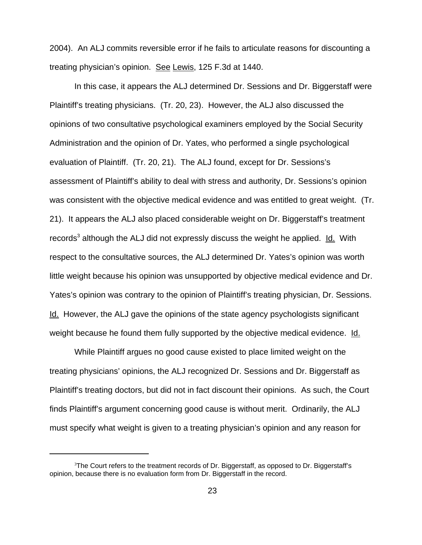2004). An ALJ commits reversible error if he fails to articulate reasons for discounting a treating physician's opinion. See Lewis, 125 F.3d at 1440.

In this case, it appears the ALJ determined Dr. Sessions and Dr. Biggerstaff were Plaintiff's treating physicians. (Tr. 20, 23). However, the ALJ also discussed the opinions of two consultative psychological examiners employed by the Social Security Administration and the opinion of Dr. Yates, who performed a single psychological evaluation of Plaintiff. (Tr. 20, 21). The ALJ found, except for Dr. Sessions's assessment of Plaintiff's ability to deal with stress and authority, Dr. Sessions's opinion was consistent with the objective medical evidence and was entitled to great weight. (Tr. 21). It appears the ALJ also placed considerable weight on Dr. Biggerstaff's treatment records<sup>3</sup> although the ALJ did not expressly discuss the weight he applied. Id. With respect to the consultative sources, the ALJ determined Dr. Yates's opinion was worth little weight because his opinion was unsupported by objective medical evidence and Dr. Yates's opinion was contrary to the opinion of Plaintiff's treating physician, Dr. Sessions. Id. However, the ALJ gave the opinions of the state agency psychologists significant weight because he found them fully supported by the objective medical evidence. Id.

While Plaintiff argues no good cause existed to place limited weight on the treating physicians' opinions, the ALJ recognized Dr. Sessions and Dr. Biggerstaff as Plaintiff's treating doctors, but did not in fact discount their opinions. As such, the Court finds Plaintiff's argument concerning good cause is without merit. Ordinarily, the ALJ must specify what weight is given to a treating physician's opinion and any reason for

 ${}^{3}$ The Court refers to the treatment records of Dr. Biggerstaff, as opposed to Dr. Biggerstaff's opinion, because there is no evaluation form from Dr. Biggerstaff in the record.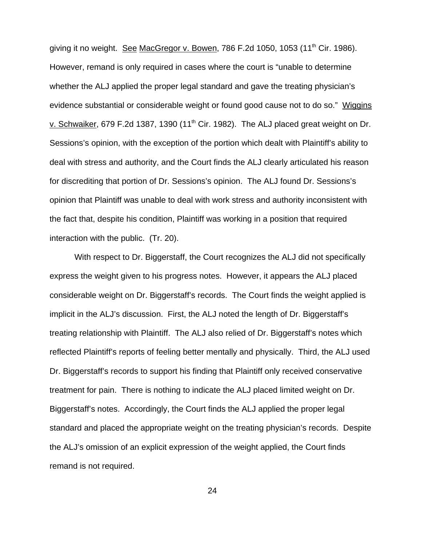giving it no weight. See MacGregor v. Bowen, 786 F.2d 1050, 1053 (11<sup>th</sup> Cir. 1986). However, remand is only required in cases where the court is "unable to determine whether the ALJ applied the proper legal standard and gave the treating physician's evidence substantial or considerable weight or found good cause not to do so." Wiggins v. Schwaiker, 679 F.2d 1387, 1390 (11<sup>th</sup> Cir. 1982). The ALJ placed great weight on Dr. Sessions's opinion, with the exception of the portion which dealt with Plaintiff's ability to deal with stress and authority, and the Court finds the ALJ clearly articulated his reason for discrediting that portion of Dr. Sessions's opinion. The ALJ found Dr. Sessions's opinion that Plaintiff was unable to deal with work stress and authority inconsistent with the fact that, despite his condition, Plaintiff was working in a position that required interaction with the public. (Tr. 20).

With respect to Dr. Biggerstaff, the Court recognizes the ALJ did not specifically express the weight given to his progress notes. However, it appears the ALJ placed considerable weight on Dr. Biggerstaff's records. The Court finds the weight applied is implicit in the ALJ's discussion. First, the ALJ noted the length of Dr. Biggerstaff's treating relationship with Plaintiff. The ALJ also relied of Dr. Biggerstaff's notes which reflected Plaintiff's reports of feeling better mentally and physically. Third, the ALJ used Dr. Biggerstaff's records to support his finding that Plaintiff only received conservative treatment for pain. There is nothing to indicate the ALJ placed limited weight on Dr. Biggerstaff's notes. Accordingly, the Court finds the ALJ applied the proper legal standard and placed the appropriate weight on the treating physician's records. Despite the ALJ's omission of an explicit expression of the weight applied, the Court finds remand is not required.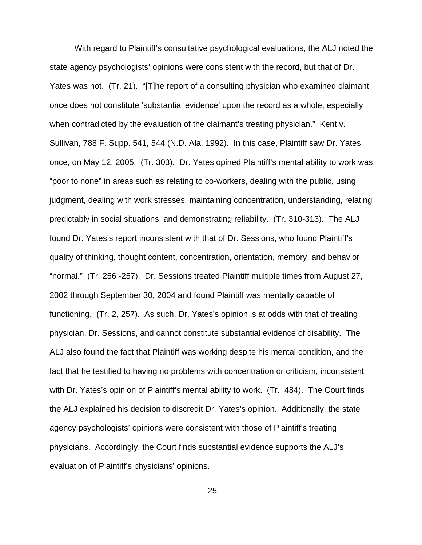With regard to Plaintiff's consultative psychological evaluations, the ALJ noted the state agency psychologists' opinions were consistent with the record, but that of Dr. Yates was not. (Tr. 21). "[T]he report of a consulting physician who examined claimant once does not constitute 'substantial evidence' upon the record as a whole, especially when contradicted by the evaluation of the claimant's treating physician." Kent v. Sullivan, 788 F. Supp. 541, 544 (N.D. Ala. 1992). In this case, Plaintiff saw Dr. Yates once, on May 12, 2005. (Tr. 303). Dr. Yates opined Plaintiff's mental ability to work was "poor to none" in areas such as relating to co-workers, dealing with the public, using judgment, dealing with work stresses, maintaining concentration, understanding, relating predictably in social situations, and demonstrating reliability. (Tr. 310-313). The ALJ found Dr. Yates's report inconsistent with that of Dr. Sessions, who found Plaintiff's quality of thinking, thought content, concentration, orientation, memory, and behavior "normal." (Tr. 256 -257). Dr. Sessions treated Plaintiff multiple times from August 27, 2002 through September 30, 2004 and found Plaintiff was mentally capable of functioning. (Tr. 2, 257). As such, Dr. Yates's opinion is at odds with that of treating physician, Dr. Sessions, and cannot constitute substantial evidence of disability. The ALJ also found the fact that Plaintiff was working despite his mental condition, and the fact that he testified to having no problems with concentration or criticism, inconsistent with Dr. Yates's opinion of Plaintiff's mental ability to work. (Tr. 484). The Court finds the ALJ explained his decision to discredit Dr. Yates's opinion. Additionally, the state agency psychologists' opinions were consistent with those of Plaintiff's treating physicians. Accordingly, the Court finds substantial evidence supports the ALJ's evaluation of Plaintiff's physicians' opinions.